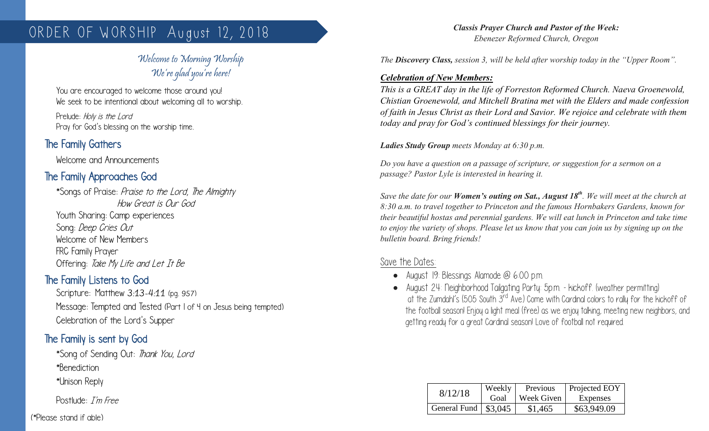# ORDER OF WORSHIP August 12, 2018

# Welcome to Morning Worship We're glad you're here!

You are encouraged to welcome those around you! We seek to be intentional about welcoming all to worship.

Prelude: Holy is the Lord Pray for God's blessing on the worship time.

# The Family Gathers

Welcome and Announcements

# The Family Approaches God

\*Songs of Praise: Praise to the Lord, The Almighty How Great is Our God Youth Sharing: Camp experiences Song: Deep Cries Out Welcome of New Members FRC Family Prayer Offering: Take My Life and Let It Be

## The Family Listens to God

Scripture: Matthew 3:13-4:11 (pg. 957) Message: Tempted and Tested (Part 1 of 4 on Jesus being tempted) Celebration of the Lord's Supper

# The Family is sent by God

\*Song of Sending Out: Thank You, Lord \*Benediction

\*Unison Reply

Postlude: I'm Free

*Classis Prayer Church and Pastor of the Week: Ebenezer Reformed Church, Oregon* 

*The Discovery Class, session 3, will be held after worship today in the "Upper Room".*

#### *Celebration of New Members:*

*This is a GREAT day in the life of Forreston Reformed Church. Naeva Groenewold, Chistian Groenewold, and Mitchell Bratina met with the Elders and made confession of faith in Jesus Christ as their Lord and Savior. We rejoice and celebrate with them today and pray for God's continued blessings for their journey.*

*Ladies Study Group meets Monday at 6:30 p.m.*

*Do you have a question on a passage of scripture, or suggestion for a sermon on a passage? Pastor Lyle is interested in hearing it.*

*Save the date for our Women's outing on Sat., August 18th . We will meet at the church at 8:30 a.m. to travel together to Princeton and the famous Hornbakers Gardens, known for their beautiful hostas and perennial gardens. We will eat lunch in Princeton and take time to enjoy the variety of shops. Please let us know that you can join us by signing up on the bulletin board. Bring friends!*

## Save the Dates:

- August 19: Blessings Alamode @ 6:00 p.m.
- August 24: Neighborhood Tailgating Party: 5p.m. kickoff. (weather permitting) at the Zumdahl's (505 South 3rd Ave.) Come with Cardinal colors to rally for the kickoff of the football season! Enjoy a light meal (free) as we enjoy talking, meeting new neighbors, and getting ready for a great Cardinal season! Love of football not required.

| 8/12/18                      | Weekly<br>Goal | Previous<br>Week Given | Projected EOY<br>Expenses |
|------------------------------|----------------|------------------------|---------------------------|
| General Fund $\vert$ \$3,045 |                | \$1,465                | \$63,949.09               |